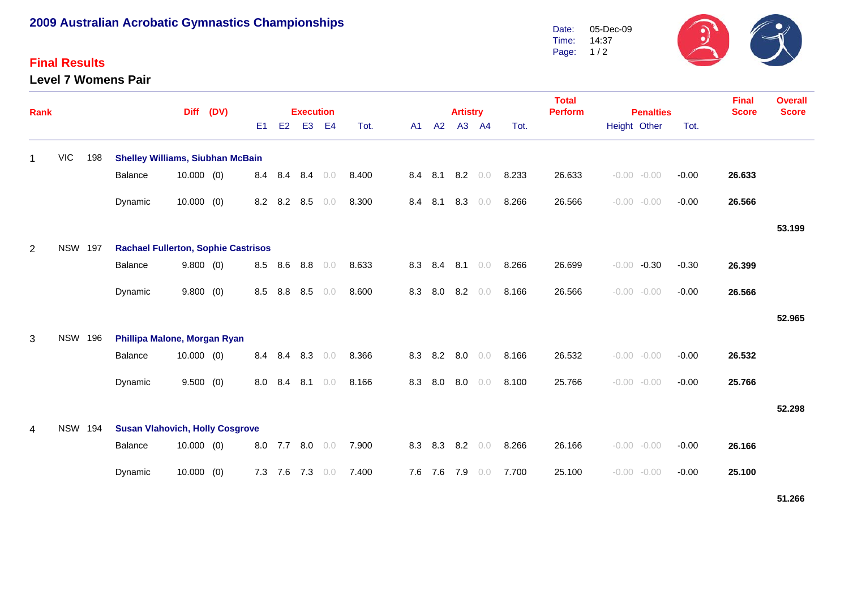## **2009 Australian Acrobatic Gymnastics Championships**

## **Final Results**

**Level 7 Womens Pair**



| Rank           |                |     |                                            | (DV)         |  | <b>Execution</b> |     |                | <b>Artistry</b> |       |     | <b>Total</b><br><b>Perform</b> | <b>Penalties</b> |                |       | <b>Final</b><br><b>Score</b> | <b>Overall</b><br><b>Score</b> |                |         |        |        |
|----------------|----------------|-----|--------------------------------------------|--------------|--|------------------|-----|----------------|-----------------|-------|-----|--------------------------------|------------------|----------------|-------|------------------------------|--------------------------------|----------------|---------|--------|--------|
|                |                |     |                                            |              |  | E <sub>1</sub>   | E2  | E <sub>3</sub> | E <sub>4</sub>  | Tot.  | A1  | A2                             |                  | A3 A4          | Tot.  |                              | Height Other                   |                | Tot.    |        |        |
|                | <b>VIC</b>     | 198 | <b>Shelley Williams, Siubhan McBain</b>    |              |  |                  |     |                |                 |       |     |                                |                  |                |       |                              |                                |                |         |        |        |
|                |                |     | <b>Balance</b>                             | $10.000$ (0) |  | 8.4              | 8.4 | 8.4            | 0.0             | 8.400 |     | 8.4 8.1                        |                  | $8.2\quad 0.0$ | 8.233 | 26.633                       |                                | $-0.00 - 0.00$ | $-0.00$ | 26.633 |        |
|                |                |     | Dynamic                                    | $10.000$ (0) |  | 8.2              | 8.2 | 8.5            | 0.0             | 8.300 | 8.4 | 8.1                            | 8.3              | 0.0            | 8.266 | 26.566                       |                                | $-0.00 - 0.00$ | $-0.00$ | 26.566 |        |
|                |                |     |                                            |              |  |                  |     |                |                 |       |     |                                |                  |                |       |                              |                                |                |         |        | 53.199 |
| $\overline{2}$ | <b>NSW 197</b> |     | <b>Rachael Fullerton, Sophie Castrisos</b> |              |  |                  |     |                |                 |       |     |                                |                  |                |       |                              |                                |                |         |        |        |
|                |                |     | Balance                                    | 9.800(0)     |  | 8.5              | 8.6 | 8.8            | 0.0             | 8.633 | 8.3 | 8.4                            | 8.1              | 0.0            | 8.266 | 26.699                       | $-0.00$                        | $-0.30$        | $-0.30$ | 26.399 |        |
|                |                |     | Dynamic                                    | 9.800(0)     |  | 8.5              | 8.8 | 8.5            | 0.0             | 8.600 | 8.3 | 8.0                            | 8.2              | 0.0            | 8.166 | 26.566                       |                                | $-0.00 - 0.00$ | $-0.00$ | 26.566 |        |
|                |                |     |                                            |              |  |                  |     |                |                 |       |     |                                |                  |                |       |                              |                                |                |         |        | 52.965 |
| 3              | <b>NSW 196</b> |     | Phillipa Malone, Morgan Ryan               |              |  |                  |     |                |                 |       |     |                                |                  |                |       |                              |                                |                |         |        |        |
|                |                |     | <b>Balance</b>                             | $10.000$ (0) |  | 8.4              | 8.4 | 8.3            | 0.0             | 8.366 |     | 8.3 8.2                        | 8.0              | 0.0            | 8.166 | 26.532                       |                                | $-0.00 - 0.00$ | $-0.00$ | 26.532 |        |
|                |                |     | Dynamic                                    | 9.500(0)     |  | 8.0              | 8.4 | 8.1            | 0.0             | 8.166 | 8.3 | 8.0                            | 8.0              | $0.0$          | 8.100 | 25.766                       |                                | $-0.00 - 0.00$ | $-0.00$ | 25.766 |        |
|                |                |     |                                            |              |  |                  |     |                |                 |       |     |                                |                  |                |       |                              |                                |                |         |        | 52.298 |
| 4              | <b>NSW 194</b> |     | <b>Susan Vlahovich, Holly Cosgrove</b>     |              |  |                  |     |                |                 |       |     |                                |                  |                |       |                              |                                |                |         |        |        |
|                |                |     | <b>Balance</b>                             | $10.000$ (0) |  | 8.0              | 7.7 | 8.0            | 0.0             | 7.900 |     |                                | 8.3 8.3 8.2      | 0.0            | 8.266 | 26.166                       |                                | $-0.00 - 0.00$ | $-0.00$ | 26.166 |        |
|                |                |     | Dynamic                                    | 10.000(0)    |  | 7.3              | 7.6 | 7.3            | 0.0             | 7.400 |     | 7.6 7.6                        | 7.9              | 0.0            | 7.700 | 25.100                       | $-0.00$                        | $-0.00$        | $-0.00$ | 25.100 |        |

**51.266**